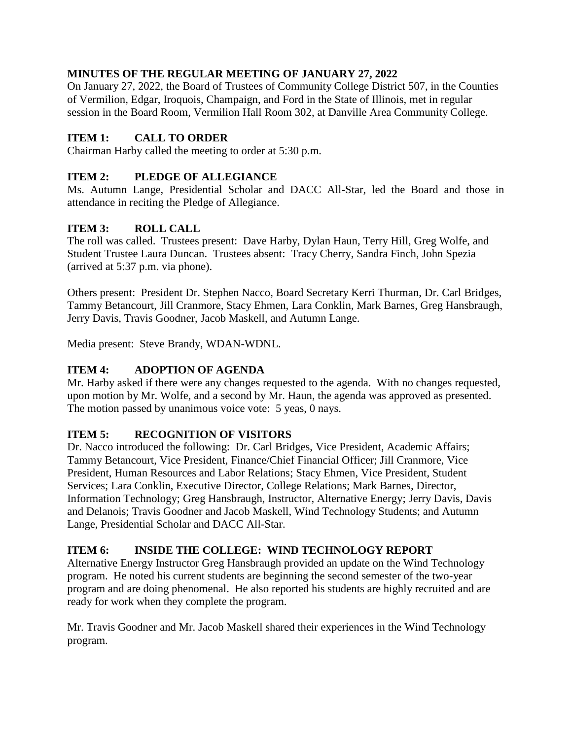## **MINUTES OF THE REGULAR MEETING OF JANUARY 27, 2022**

On January 27, 2022, the Board of Trustees of Community College District 507, in the Counties of Vermilion, Edgar, Iroquois, Champaign, and Ford in the State of Illinois, met in regular session in the Board Room, Vermilion Hall Room 302, at Danville Area Community College.

## **ITEM 1: CALL TO ORDER**

Chairman Harby called the meeting to order at 5:30 p.m.

### **ITEM 2: PLEDGE OF ALLEGIANCE**

Ms. Autumn Lange, Presidential Scholar and DACC All-Star, led the Board and those in attendance in reciting the Pledge of Allegiance.

## **ITEM 3: ROLL CALL**

The roll was called. Trustees present: Dave Harby, Dylan Haun, Terry Hill, Greg Wolfe, and Student Trustee Laura Duncan. Trustees absent: Tracy Cherry, Sandra Finch, John Spezia (arrived at 5:37 p.m. via phone).

Others present: President Dr. Stephen Nacco, Board Secretary Kerri Thurman, Dr. Carl Bridges, Tammy Betancourt, Jill Cranmore, Stacy Ehmen, Lara Conklin, Mark Barnes, Greg Hansbraugh, Jerry Davis, Travis Goodner, Jacob Maskell, and Autumn Lange.

Media present: Steve Brandy, WDAN-WDNL.

### **ITEM 4: ADOPTION OF AGENDA**

Mr. Harby asked if there were any changes requested to the agenda. With no changes requested, upon motion by Mr. Wolfe, and a second by Mr. Haun, the agenda was approved as presented. The motion passed by unanimous voice vote: 5 yeas, 0 nays.

### **ITEM 5: RECOGNITION OF VISITORS**

Dr. Nacco introduced the following: Dr. Carl Bridges, Vice President, Academic Affairs; Tammy Betancourt, Vice President, Finance/Chief Financial Officer; Jill Cranmore, Vice President, Human Resources and Labor Relations; Stacy Ehmen, Vice President, Student Services; Lara Conklin, Executive Director, College Relations; Mark Barnes, Director, Information Technology; Greg Hansbraugh, Instructor, Alternative Energy; Jerry Davis, Davis and Delanois; Travis Goodner and Jacob Maskell, Wind Technology Students; and Autumn Lange, Presidential Scholar and DACC All-Star.

### **ITEM 6: INSIDE THE COLLEGE: WIND TECHNOLOGY REPORT**

Alternative Energy Instructor Greg Hansbraugh provided an update on the Wind Technology program. He noted his current students are beginning the second semester of the two-year program and are doing phenomenal. He also reported his students are highly recruited and are ready for work when they complete the program.

Mr. Travis Goodner and Mr. Jacob Maskell shared their experiences in the Wind Technology program.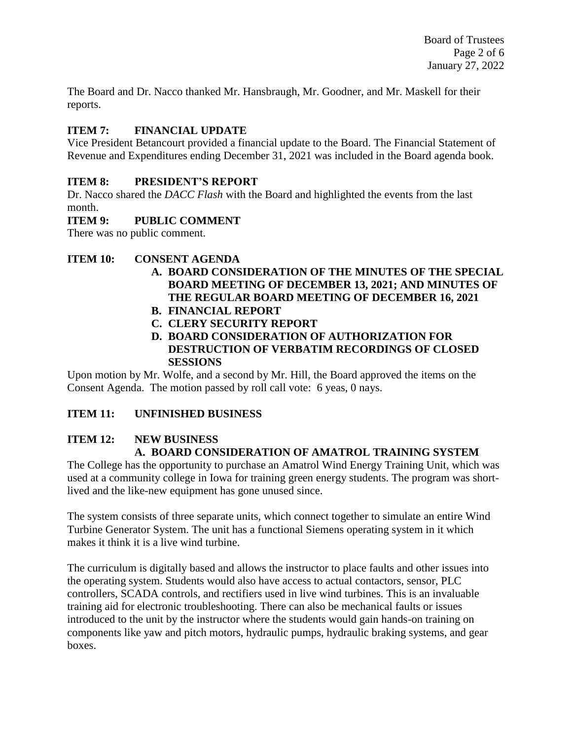The Board and Dr. Nacco thanked Mr. Hansbraugh, Mr. Goodner, and Mr. Maskell for their reports.

## **ITEM 7: FINANCIAL UPDATE**

Vice President Betancourt provided a financial update to the Board. The Financial Statement of Revenue and Expenditures ending December 31, 2021 was included in the Board agenda book.

### **ITEM 8: PRESIDENT'S REPORT**

Dr. Nacco shared the *DACC Flash* with the Board and highlighted the events from the last month.

### **ITEM 9: PUBLIC COMMENT**

There was no public comment.

## **ITEM 10: CONSENT AGENDA**

- **A. BOARD CONSIDERATION OF THE MINUTES OF THE SPECIAL BOARD MEETING OF DECEMBER 13, 2021; AND MINUTES OF THE REGULAR BOARD MEETING OF DECEMBER 16, 2021**
- **B. FINANCIAL REPORT**
- **C. CLERY SECURITY REPORT**
- **D. BOARD CONSIDERATION OF AUTHORIZATION FOR DESTRUCTION OF VERBATIM RECORDINGS OF CLOSED SESSIONS**

Upon motion by Mr. Wolfe, and a second by Mr. Hill, the Board approved the items on the Consent Agenda. The motion passed by roll call vote: 6 yeas, 0 nays.

## **ITEM 11: UNFINISHED BUSINESS**

## **ITEM 12: NEW BUSINESS A. BOARD CONSIDERATION OF AMATROL TRAINING SYSTEM**

The College has the opportunity to purchase an Amatrol Wind Energy Training Unit, which was used at a community college in Iowa for training green energy students. The program was shortlived and the like-new equipment has gone unused since.

The system consists of three separate units, which connect together to simulate an entire Wind Turbine Generator System. The unit has a functional Siemens operating system in it which makes it think it is a live wind turbine.

The curriculum is digitally based and allows the instructor to place faults and other issues into the operating system. Students would also have access to actual contactors, sensor, PLC controllers, SCADA controls, and rectifiers used in live wind turbines. This is an invaluable training aid for electronic troubleshooting. There can also be mechanical faults or issues introduced to the unit by the instructor where the students would gain hands-on training on components like yaw and pitch motors, hydraulic pumps, hydraulic braking systems, and gear boxes.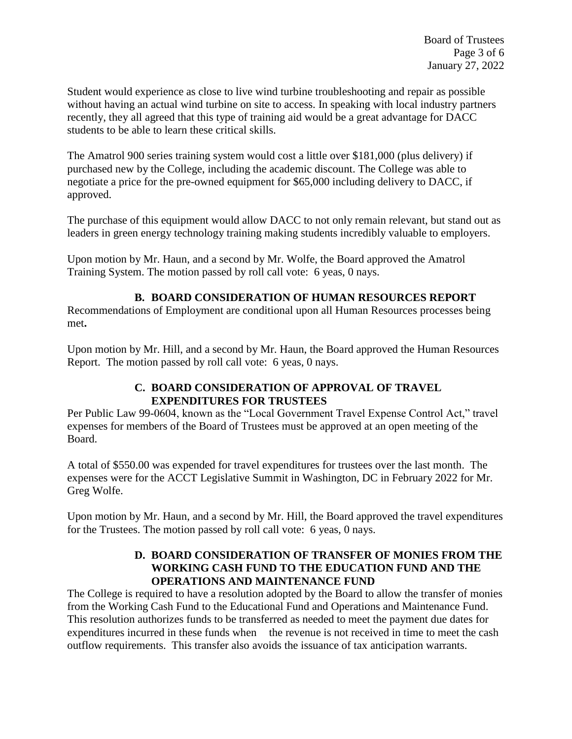Student would experience as close to live wind turbine troubleshooting and repair as possible without having an actual wind turbine on site to access. In speaking with local industry partners recently, they all agreed that this type of training aid would be a great advantage for DACC students to be able to learn these critical skills.

The Amatrol 900 series training system would cost a little over \$181,000 (plus delivery) if purchased new by the College, including the academic discount. The College was able to negotiate a price for the pre-owned equipment for \$65,000 including delivery to DACC, if approved.

The purchase of this equipment would allow DACC to not only remain relevant, but stand out as leaders in green energy technology training making students incredibly valuable to employers.

Upon motion by Mr. Haun, and a second by Mr. Wolfe, the Board approved the Amatrol Training System. The motion passed by roll call vote: 6 yeas, 0 nays.

### **B. BOARD CONSIDERATION OF HUMAN RESOURCES REPORT**

Recommendations of Employment are conditional upon all Human Resources processes being met**.** 

Upon motion by Mr. Hill, and a second by Mr. Haun, the Board approved the Human Resources Report. The motion passed by roll call vote: 6 yeas, 0 nays.

### **C. BOARD CONSIDERATION OF APPROVAL OF TRAVEL EXPENDITURES FOR TRUSTEES**

Per Public Law 99-0604, known as the "Local Government Travel Expense Control Act," travel expenses for members of the Board of Trustees must be approved at an open meeting of the Board.

A total of \$550.00 was expended for travel expenditures for trustees over the last month. The expenses were for the ACCT Legislative Summit in Washington, DC in February 2022 for Mr. Greg Wolfe.

Upon motion by Mr. Haun, and a second by Mr. Hill, the Board approved the travel expenditures for the Trustees. The motion passed by roll call vote: 6 yeas, 0 nays.

### **D. BOARD CONSIDERATION OF TRANSFER OF MONIES FROM THE WORKING CASH FUND TO THE EDUCATION FUND AND THE OPERATIONS AND MAINTENANCE FUND**

The College is required to have a resolution adopted by the Board to allow the transfer of monies from the Working Cash Fund to the Educational Fund and Operations and Maintenance Fund. This resolution authorizes funds to be transferred as needed to meet the payment due dates for expenditures incurred in these funds when the revenue is not received in time to meet the cash outflow requirements. This transfer also avoids the issuance of tax anticipation warrants.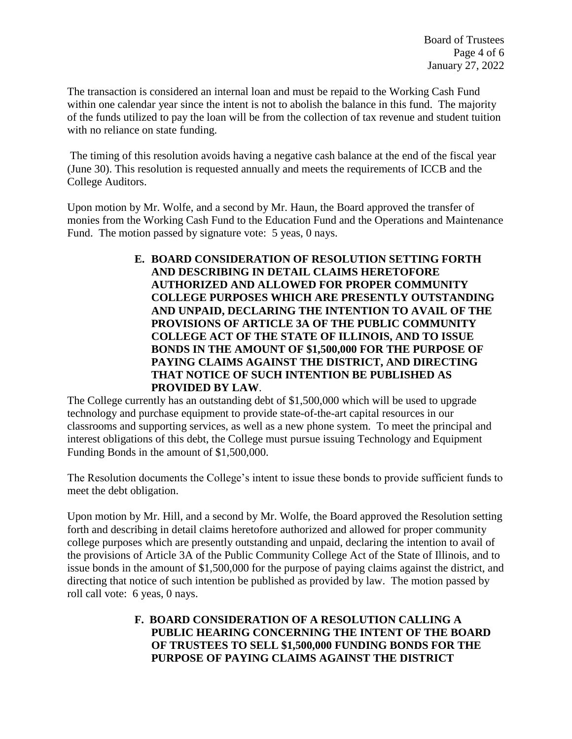The transaction is considered an internal loan and must be repaid to the Working Cash Fund within one calendar year since the intent is not to abolish the balance in this fund. The majority of the funds utilized to pay the loan will be from the collection of tax revenue and student tuition with no reliance on state funding.

The timing of this resolution avoids having a negative cash balance at the end of the fiscal year (June 30). This resolution is requested annually and meets the requirements of ICCB and the College Auditors.

Upon motion by Mr. Wolfe, and a second by Mr. Haun, the Board approved the transfer of monies from the Working Cash Fund to the Education Fund and the Operations and Maintenance Fund. The motion passed by signature vote: 5 yeas, 0 nays.

> **E. BOARD CONSIDERATION OF RESOLUTION SETTING FORTH AND DESCRIBING IN DETAIL CLAIMS HERETOFORE AUTHORIZED AND ALLOWED FOR PROPER COMMUNITY COLLEGE PURPOSES WHICH ARE PRESENTLY OUTSTANDING AND UNPAID, DECLARING THE INTENTION TO AVAIL OF THE PROVISIONS OF ARTICLE 3A OF THE PUBLIC COMMUNITY COLLEGE ACT OF THE STATE OF ILLINOIS, AND TO ISSUE BONDS IN THE AMOUNT OF \$1,500,000 FOR THE PURPOSE OF PAYING CLAIMS AGAINST THE DISTRICT, AND DIRECTING THAT NOTICE OF SUCH INTENTION BE PUBLISHED AS PROVIDED BY LAW**.

The College currently has an outstanding debt of \$1,500,000 which will be used to upgrade technology and purchase equipment to provide state-of-the-art capital resources in our classrooms and supporting services, as well as a new phone system. To meet the principal and interest obligations of this debt, the College must pursue issuing Technology and Equipment Funding Bonds in the amount of \$1,500,000.

The Resolution documents the College's intent to issue these bonds to provide sufficient funds to meet the debt obligation.

Upon motion by Mr. Hill, and a second by Mr. Wolfe, the Board approved the Resolution setting forth and describing in detail claims heretofore authorized and allowed for proper community college purposes which are presently outstanding and unpaid, declaring the intention to avail of the provisions of Article 3A of the Public Community College Act of the State of Illinois, and to issue bonds in the amount of \$1,500,000 for the purpose of paying claims against the district, and directing that notice of such intention be published as provided by law. The motion passed by roll call vote: 6 yeas, 0 nays.

### **F. BOARD CONSIDERATION OF A RESOLUTION CALLING A PUBLIC HEARING CONCERNING THE INTENT OF THE BOARD OF TRUSTEES TO SELL \$1,500,000 FUNDING BONDS FOR THE PURPOSE OF PAYING CLAIMS AGAINST THE DISTRICT**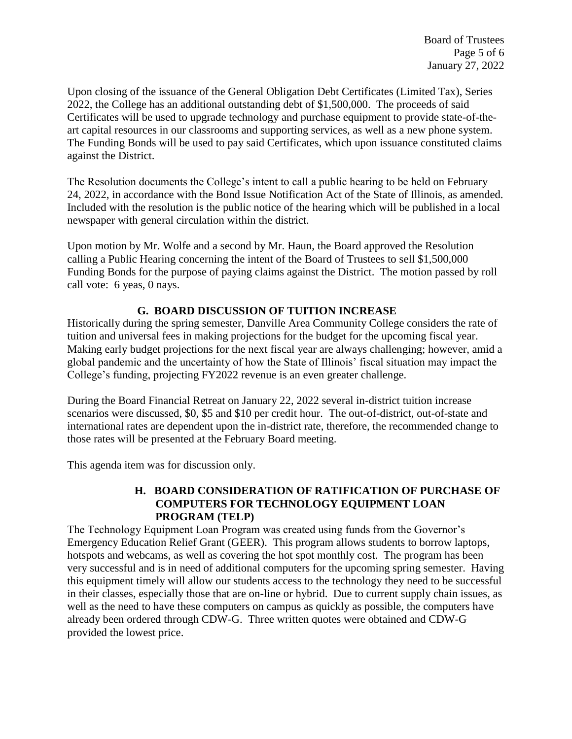Upon closing of the issuance of the General Obligation Debt Certificates (Limited Tax), Series 2022, the College has an additional outstanding debt of \$1,500,000. The proceeds of said Certificates will be used to upgrade technology and purchase equipment to provide state-of-theart capital resources in our classrooms and supporting services, as well as a new phone system. The Funding Bonds will be used to pay said Certificates, which upon issuance constituted claims against the District.

The Resolution documents the College's intent to call a public hearing to be held on February 24, 2022, in accordance with the Bond Issue Notification Act of the State of Illinois, as amended. Included with the resolution is the public notice of the hearing which will be published in a local newspaper with general circulation within the district.

Upon motion by Mr. Wolfe and a second by Mr. Haun, the Board approved the Resolution calling a Public Hearing concerning the intent of the Board of Trustees to sell \$1,500,000 Funding Bonds for the purpose of paying claims against the District. The motion passed by roll call vote: 6 yeas, 0 nays.

### **G. BOARD DISCUSSION OF TUITION INCREASE**

Historically during the spring semester, Danville Area Community College considers the rate of tuition and universal fees in making projections for the budget for the upcoming fiscal year. Making early budget projections for the next fiscal year are always challenging; however, amid a global pandemic and the uncertainty of how the State of Illinois' fiscal situation may impact the College's funding, projecting FY2022 revenue is an even greater challenge.

During the Board Financial Retreat on January 22, 2022 several in-district tuition increase scenarios were discussed, \$0, \$5 and \$10 per credit hour. The out-of-district, out-of-state and international rates are dependent upon the in-district rate, therefore, the recommended change to those rates will be presented at the February Board meeting.

This agenda item was for discussion only.

### **H. BOARD CONSIDERATION OF RATIFICATION OF PURCHASE OF COMPUTERS FOR TECHNOLOGY EQUIPMENT LOAN PROGRAM (TELP)**

The Technology Equipment Loan Program was created using funds from the Governor's Emergency Education Relief Grant (GEER). This program allows students to borrow laptops, hotspots and webcams, as well as covering the hot spot monthly cost. The program has been very successful and is in need of additional computers for the upcoming spring semester. Having this equipment timely will allow our students access to the technology they need to be successful in their classes, especially those that are on-line or hybrid. Due to current supply chain issues, as well as the need to have these computers on campus as quickly as possible, the computers have already been ordered through CDW-G. Three written quotes were obtained and CDW-G provided the lowest price.